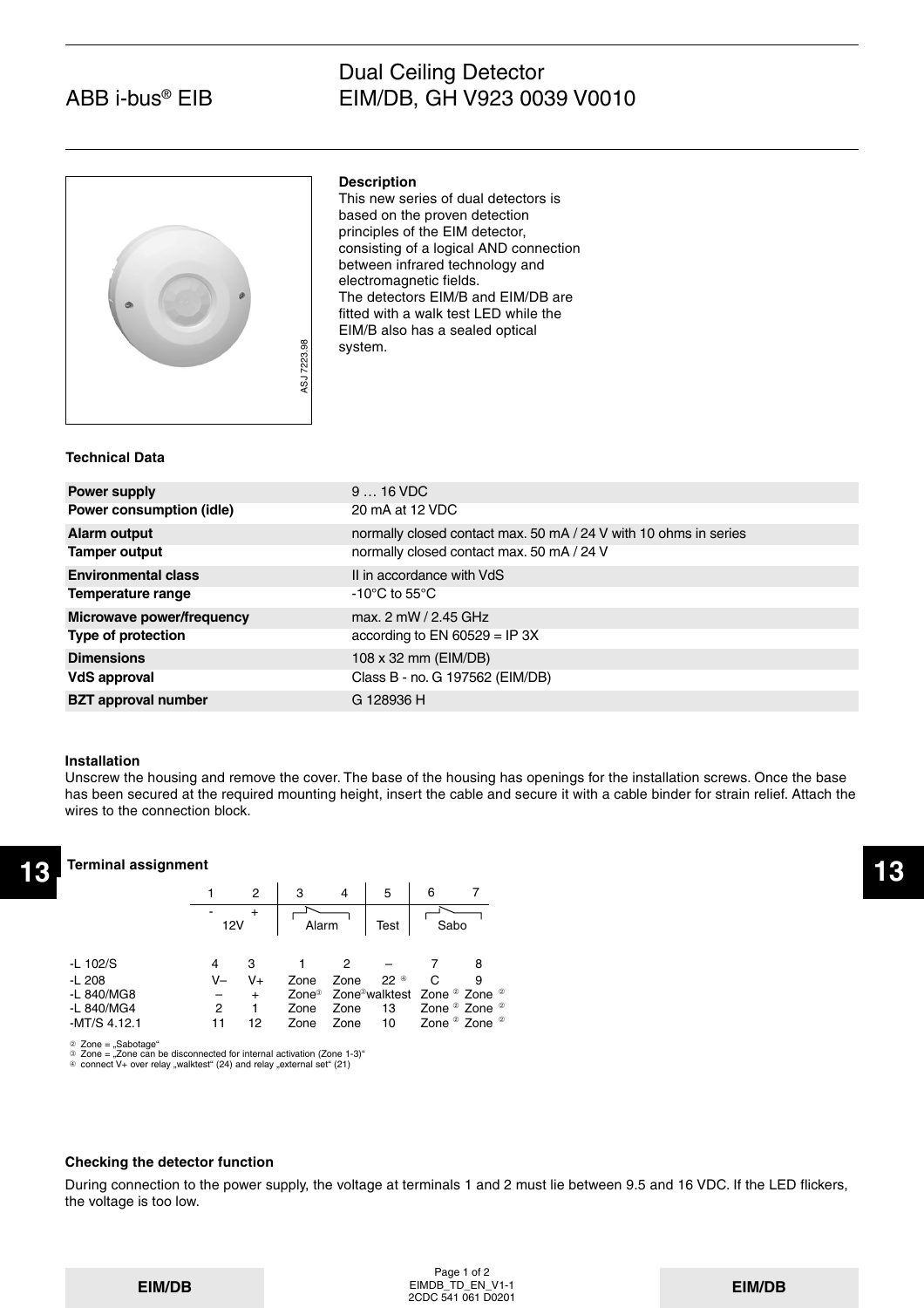# Dual Ceiling Detector EIM/DB, GH V923 0039 V0010



## **Description**

This new series of dual detectors is based on the proven detection principles of the EIM detector, consisting of a logical AND connection between infrared technology and electromagnetic fields. The detectors EIM/B and EIM/DB are fitted with a walk test LED while the EIM/B also has a sealed optical system.

#### **Technical Data**

| ASJ 7223.98                | system.                                                          |
|----------------------------|------------------------------------------------------------------|
| Technical Data             |                                                                  |
| <b>Power supply</b>        | $916$ VDC                                                        |
| Power consumption (idle)   | 20 mA at 12 VDC                                                  |
| <b>Alarm output</b>        | normally closed contact max. 50 mA / 24 V with 10 ohms in series |
| <b>Tamper output</b>       | normally closed contact max. 50 mA / 24 V                        |
| <b>Environmental class</b> | II in accordance with VdS                                        |
| Temperature range          | -10 $^{\circ}$ C to 55 $^{\circ}$ C                              |
| Microwave power/frequency  | max. 2 mW / 2.45 GHz                                             |
| Type of protection         | according to EN 60529 = IP 3X                                    |
| <b>Dimensions</b>          | 108 x 32 mm (EIM/DB)                                             |
| VdS approval               | Class B - no. G 197562 (EIM/DB)                                  |
| <b>BZT</b> approval number | G 128936 H                                                       |

#### **Installation**

Unscrew the housing and remove the cover. The base of the housing has openings for the installation screws. Once the base has been secured at the required mounting height, insert the cable and secure it with a cable binder for strain relief. Attach the wires to the connection block.

### **Terminal assignment**

| <b>Terminal assignment</b><br>12 |                       |        |       |                           |             |                                  |   |                                                                            |
|----------------------------------|-----------------------|--------|-------|---------------------------|-------------|----------------------------------|---|----------------------------------------------------------------------------|
|                                  |                       |        | 2     | з                         | 4           | 5                                | 6 |                                                                            |
|                                  | $\blacksquare$<br>12V |        | Alarm |                           | <b>Test</b> | Sabo                             |   |                                                                            |
| $-L$ 102/S                       |                       | 4      |       |                           | 2           |                                  |   | 8                                                                          |
| $-L208$                          |                       | V-     | $V +$ | Zone                      | Zone        | $22^{\circ}$                     | С | 9                                                                          |
| -L 840/MG8<br>-L 840/MG4         |                       | -<br>2 | $+$   | Zone <sup>3</sup><br>Zone | Zone        | Zone <sup>3</sup> walktest<br>13 |   | Zone <sup>2</sup> Zone <sup>2</sup><br>Zone <sup>2</sup> Zone <sup>2</sup> |
| $-MT/S$ 4.12.1                   |                       | 11     | 12    | Zone                      | Zone        | 10                               |   | Zone <sup>2</sup> Zone <sup>2</sup>                                        |

➁ ➂ ➃ Zone = "Sabotage"<br>Zone = "Zone can be disconnected for internal activation (Zone 1-3)"<br>connect V+ over relay "walktest" (24) and relay "external set" (21)

## **Checking the detector function**

During connection to the power supply, the voltage at terminals 1 and 2 must lie between 9.5 and 16 VDC. If the LED flickers, the voltage is too low.